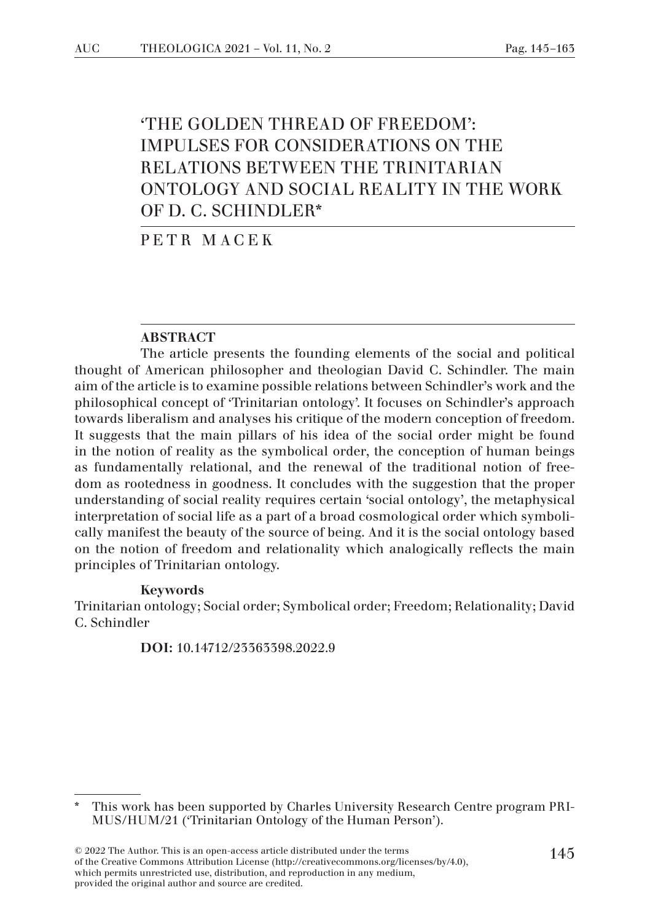# 'THE GOLDEN THREAD OF FREEDOM': IMPULSES FOR CONSIDERATIONS ON THE RELATIONS BETWEEN THE TRINITARIAN ONTOLOGY AND SOCIAL REALITY IN THE WORK OF D. C. SCHINDLER\*

PETR MACEK

#### ABSTRACT

The article presents the founding elements of the social and political thought of American philosopher and theologian David C. Schindler. The main aim of the article is to examine possible relations between Schindler's work and the philosophical concept of 'Trinitarian ontology'. It focuses on Schindler's approach towards liberalism and analyses his critique of the modern conception of freedom. It suggests that the main pillars of his idea of the social order might be found in the notion of reality as the symbolical order, the conception of human beings as fundamentally relational, and the renewal of the traditional notion of freedom as rootedness in goodness. It concludes with the suggestion that the proper understanding of social reality requires certain 'social ontology', the metaphysical interpretation of social life as a part of a broad cosmological order which symbolically manifest the beauty of the source of being. And it is the social ontology based on the notion of freedom and relationality which analogically reflects the main principles of Trinitarian ontology.

#### Keywords

Trinitarian ontology; Social order; Symbolical order; Freedom; Relationality; David C. Schindler

DOI: 10.14712/23363398.2022.9

<sup>\*</sup> This work has been supported by Charles University Research Centre program PRI-MUS/HUM/21 ('Trinitarian Ontology of the Human Person').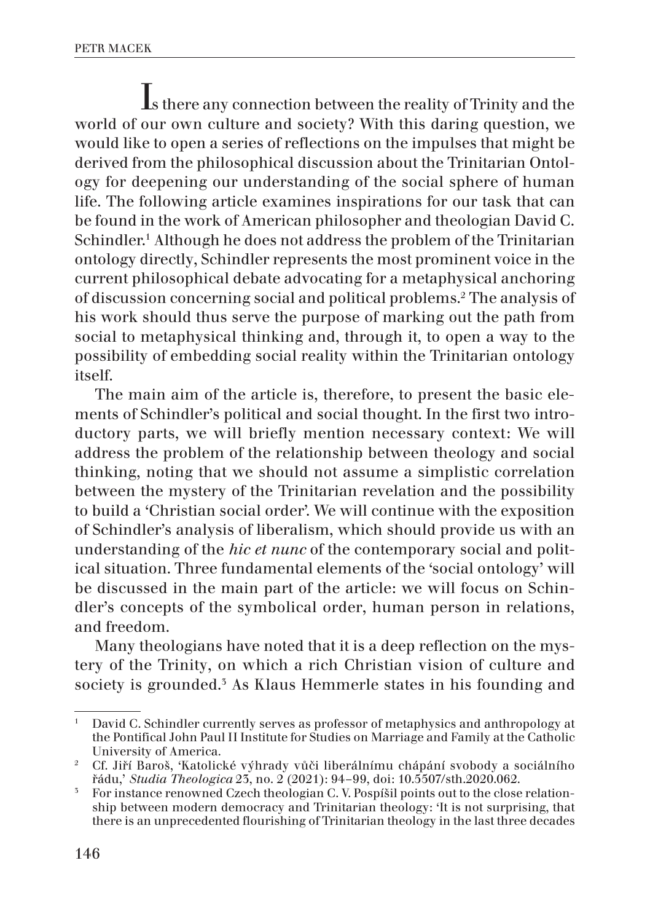Is there any connection between the reality of Trinity and the world of our own culture and society? With this daring question, we would like to open a series of reflections on the impulses that might be derived from the philosophical discussion about the Trinitarian Ontology for deepening our understanding of the social sphere of human life. The following article examines inspirations for our task that can be found in the work of American philosopher and theologian David C. Schindler.1 Although he does not address the problem of the Trinitarian ontology directly, Schindler represents the most prominent voice in the current philosophical debate advocating for a metaphysical anchoring of discussion concerning social and political problems.2 The analysis of his work should thus serve the purpose of marking out the path from social to metaphysical thinking and, through it, to open a way to the possibility of embedding social reality within the Trinitarian ontology itself.

The main aim of the article is, therefore, to present the basic elements of Schindler's political and social thought. In the first two introductory parts, we will briefly mention necessary context: We will address the problem of the relationship between theology and social thinking, noting that we should not assume a simplistic correlation between the mystery of the Trinitarian revelation and the possibility to build a 'Christian social order'. We will continue with the exposition of Schindler's analysis of liberalism, which should provide us with an understanding of the *hic et nunc* of the contemporary social and political situation. Three fundamental elements of the 'social ontology' will be discussed in the main part of the article: we will focus on Schindler's concepts of the symbolical order, human person in relations, and freedom.

Many theologians have noted that it is a deep reflection on the mystery of the Trinity, on which a rich Christian vision of culture and society is grounded.<sup>5</sup> As Klaus Hemmerle states in his founding and

<sup>1</sup> David C. Schindler currently serves as professor of metaphysics and anthropology at the Pontifical John Paul II Institute for Studies on Marriage and Family at the Catholic University of America.

<sup>2</sup> Cf. Jiří Baroš, 'Katolické výhrady vůči liberálnímu chápání svobody a sociálního řádu,' *Studia Theologica* 23, no. 2 (2021): 94–99, doi: 10.5507/sth.2020.062.

<sup>&</sup>lt;sup>3</sup> For instance renowned Czech theologian C. V. Pospíšil points out to the close relationship between modern democracy and Trinitarian theology: 'It is not surprising, that there is an unprecedented flourishing of Trinitarian theology in the last three decades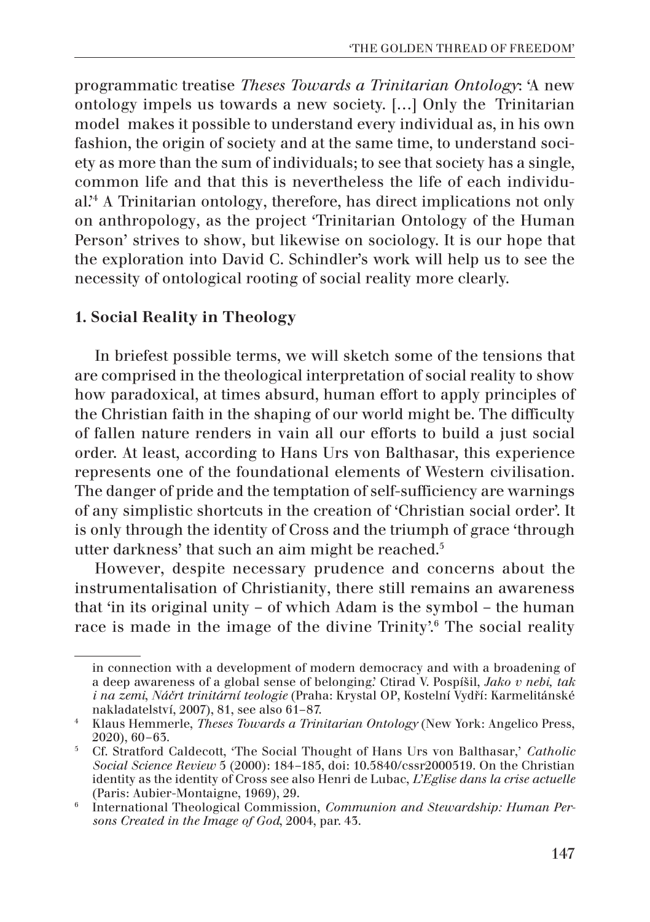programmatic treatise *Theses Towards a Trinitarian Ontology*: 'A new ontology impels us towards a new society. […] Only the Trinitarian model makes it possible to understand every individual as, in his own fashion, the origin of society and at the same time, to understand society as more than the sum of individuals; to see that society has a single, common life and that this is nevertheless the life of each individual.'4 A Trinitarian ontology, therefore, has direct implications not only on anthropology, as the project 'Trinitarian Ontology of the Human Person' strives to show, but likewise on sociology. It is our hope that the exploration into David C. Schindler's work will help us to see the necessity of ontological rooting of social reality more clearly.

## 1. Social Reality in Theology

In briefest possible terms, we will sketch some of the tensions that are comprised in the theological interpretation of social reality to show how paradoxical, at times absurd, human effort to apply principles of the Christian faith in the shaping of our world might be. The difficulty of fallen nature renders in vain all our efforts to build a just social order. At least, according to Hans Urs von Balthasar, this experience represents one of the foundational elements of Western civilisation. The danger of pride and the temptation of self-sufficiency are warnings of any simplistic shortcuts in the creation of 'Christian social order'. It is only through the identity of Cross and the triumph of grace 'through utter darkness' that such an aim might be reached.5

However, despite necessary prudence and concerns about the instrumentalisation of Christianity, there still remains an awareness that 'in its original unity – of which Adam is the symbol – the human race is made in the image of the divine Trinity'.6 The social reality

in connection with a development of modern democracy and with a broadening of a deep awareness of a global sense of belonging.' Ctirad V. Pospíšil, *Jako v nebi, tak i na zemi*, *Náčrt trinitární teologie* (Praha: Krystal OP, Kostelní Vydří: Karmelitánské nakladatelství, 2007), 81, see also 61–87.

<sup>4</sup> Klaus Hemmerle, *Theses Towards a Trinitarian Ontology* (New York: Angelico Press, 2020), 60–63.

<sup>5</sup> Cf. Stratford Caldecott, 'The Social Thought of Hans Urs von Balthasar,' *Catholic Social Science Review* 5 (2000): 184–185, doi: 10.5840/cssr2000519. On the Christian identity as the identity of Cross see also Henri de Lubac, *L'Eglise dans la crise actuelle* (Paris: Aubier-Montaigne, 1969), 29.

<sup>6</sup> International Theological Commission, *Communion and Stewardship: Human Persons Created in the Image of God*, 2004, par. 43.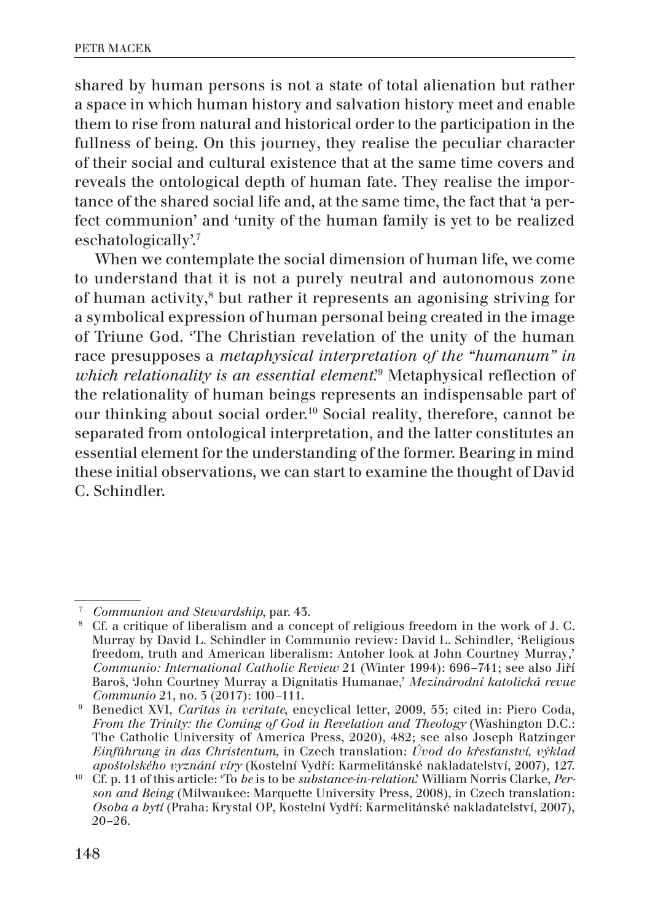shared by human persons is not a state of total alienation but rather a space in which human history and salvation history meet and enable them to rise from natural and historical order to the participation in the fullness of being. On this journey, they realise the peculiar character of their social and cultural existence that at the same time covers and reveals the ontological depth of human fate. They realise the importance of the shared social life and, at the same time, the fact that 'a perfect communion' and 'unity of the human family is yet to be realized eschatologically'.7

When we contemplate the social dimension of human life, we come to understand that it is not a purely neutral and autonomous zone of human activity,<sup>8</sup> but rather it represents an agonising striving for a symbolical expression of human personal being created in the image of Triune God. 'The Christian revelation of the unity of the human race presupposes a *metaphysical interpretation of the "humanum" in*  which relationality is an essential element.<sup>39</sup> Metaphysical reflection of the relationality of human beings represents an indispensable part of our thinking about social order.10 Social reality, therefore, cannot be separated from ontological interpretation, and the latter constitutes an essential element for the understanding of the former. Bearing in mind these initial observations, we can start to examine the thought of David C. Schindler.

<sup>7</sup> *Communion and Stewardship*, par. 43.

<sup>8</sup> Cf. a critique of liberalism and a concept of religious freedom in the work of J. C. Murray by David L. Schindler in Communio review: David L. Schindler, 'Religious freedom, truth and American liberalism: Antoher look at John Courtney Murray,' *Communio: International Catholic Review* 21 (Winter 1994): 696–741; see also Jiří Baroš, 'John Courtney Murray a Dignitatis Humanae,' *Mezinárodní katolická revue Communio* 21, no. 3 (2017): 100–111.

<sup>9</sup> Benedict XVI, *Caritas in veritate*, encyclical letter, 2009, 55; cited in: Piero Coda, *From the Trinity: the Coming of God in Revelation and Theology* (Washington D.C.: The Catholic University of America Press, 2020), 482; see also Joseph Ratzinger *Einführung in das Christentum*, in Czech translation: *Úvod do křesťanství, výklad apoštolského vyznání víry* (Kostelní Vydří: Karmelitánské nakladatelství, 2007), 127.

<sup>10</sup> Cf. p. 11 of this article: 'To *be* is to be *substance-in-relation*.' William Norris Clarke, *Person and Being* (Milwaukee: Marquette University Press, 2008), in Czech translation: *Osoba a bytí* (Praha: Krystal OP, Kostelní Vydří: Karmelitánské nakladatelství, 2007), 20–26.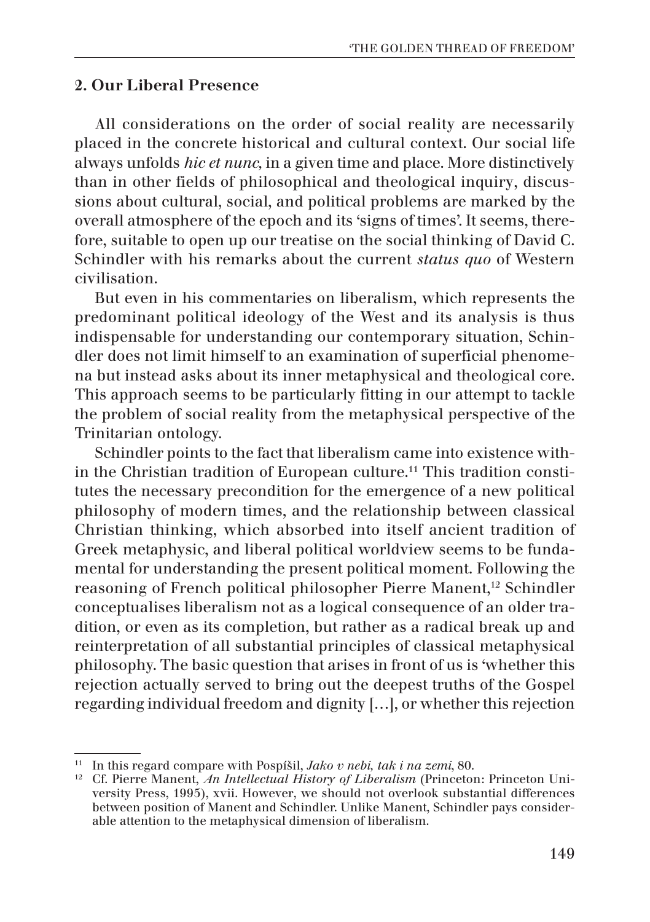### 2. Our Liberal Presence

All considerations on the order of social reality are necessarily placed in the concrete historical and cultural context. Our social life always unfolds *hic et nunc,* in a given time and place. More distinctively than in other fields of philosophical and theological inquiry, discussions about cultural, social, and political problems are marked by the overall atmosphere of the epoch and its 'signs of times'. It seems, therefore, suitable to open up our treatise on the social thinking of David C. Schindler with his remarks about the current *status quo* of Western civilisation.

But even in his commentaries on liberalism, which represents the predominant political ideology of the West and its analysis is thus indispensable for understanding our contemporary situation, Schindler does not limit himself to an examination of superficial phenomena but instead asks about its inner metaphysical and theological core. This approach seems to be particularly fitting in our attempt to tackle the problem of social reality from the metaphysical perspective of the Trinitarian ontology.

Schindler points to the fact that liberalism came into existence within the Christian tradition of European culture.<sup>11</sup> This tradition constitutes the necessary precondition for the emergence of a new political philosophy of modern times, and the relationship between classical Christian thinking, which absorbed into itself ancient tradition of Greek metaphysic, and liberal political worldview seems to be fundamental for understanding the present political moment. Following the reasoning of French political philosopher Pierre Manent,<sup>12</sup> Schindler conceptualises liberalism not as a logical consequence of an older tradition, or even as its completion, but rather as a radical break up and reinterpretation of all substantial principles of classical metaphysical philosophy. The basic question that arises in front of us is 'whether this rejection actually served to bring out the deepest truths of the Gospel regarding individual freedom and dignity […], or whether this rejection

<sup>11</sup> In this regard compare with Pospíšil, *Jako v nebi, tak i na zemi*, 80.

<sup>12</sup> Cf. Pierre Manent, *An Intellectual History of Liberalism* (Princeton: Princeton University Press, 1995), xvii. However, we should not overlook substantial differences between position of Manent and Schindler. Unlike Manent, Schindler pays considerable attention to the metaphysical dimension of liberalism.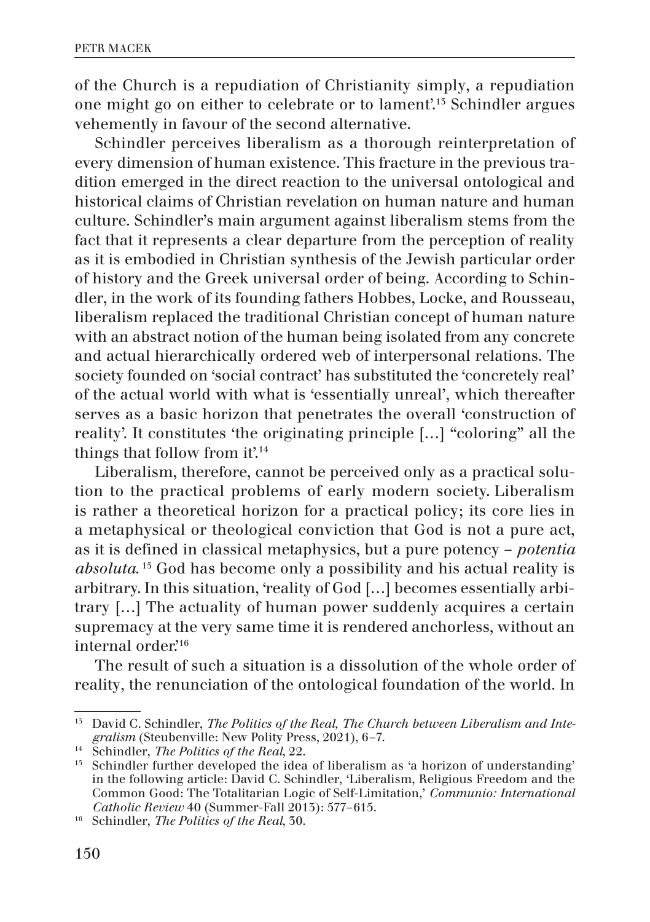of the Church is a repudiation of Christianity simply, a repudiation one might go on either to celebrate or to lament'.13 Schindler argues vehemently in favour of the second alternative.

Schindler perceives liberalism as a thorough reinterpretation of every dimension of human existence. This fracture in the previous tradition emerged in the direct reaction to the universal ontological and historical claims of Christian revelation on human nature and human culture. Schindler's main argument against liberalism stems from the fact that it represents a clear departure from the perception of reality as it is embodied in Christian synthesis of the Jewish particular order of history and the Greek universal order of being. According to Schindler, in the work of its founding fathers Hobbes, Locke, and Rousseau, liberalism replaced the traditional Christian concept of human nature with an abstract notion of the human being isolated from any concrete and actual hierarchically ordered web of interpersonal relations. The society founded on 'social contract' has substituted the 'concretely real' of the actual world with what is 'essentially unreal', which thereafter serves as a basic horizon that penetrates the overall 'construction of reality'. It constitutes 'the originating principle […] "coloring" all the things that follow from it'.<sup>14</sup>

Liberalism, therefore, cannot be perceived only as a practical solution to the practical problems of early modern society. Liberalism is rather a theoretical horizon for a practical policy; its core lies in a metaphysical or theological conviction that God is not a pure act, as it is defined in classical metaphysics, but a pure potency – *potentia absoluta*. 15 God has become only a possibility and his actual reality is arbitrary. In this situation, 'reality of God [...] becomes essentially arbitrary […] The actuality of human power suddenly acquires a certain supremacy at the very same time it is rendered anchorless, without an internal order.<sup>16</sup>

The result of such a situation is a dissolution of the whole order of reality, the renunciation of the ontological foundation of the world. In

<sup>&</sup>lt;sup>15</sup> David C. Schindler, *The Politics of the Real, The Church between Liberalism and Integralism* (Steubenville: New Polity Press, 2021), 6–7.

<sup>14</sup> Schindler, *The Politics of the Real*, 22.

<sup>&</sup>lt;sup>15</sup> Schindler further developed the idea of liberalism as 'a horizon of understanding' in the following article: David C. Schindler, 'Liberalism, Religious Freedom and the Common Good: The Totalitarian Logic of Self-Limitation,' *Communio: International Catholic Review* 40 (Summer-Fall 2013): 577–615.

<sup>16</sup> Schindler, *The Politics of the Real*, 30.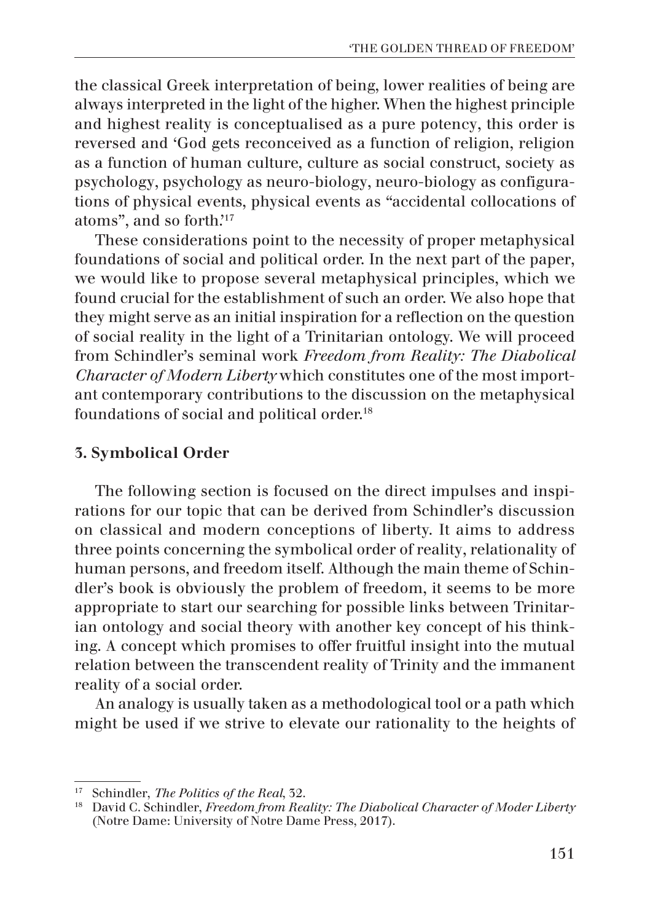the classical Greek interpretation of being, lower realities of being are always interpreted in the light of the higher. When the highest principle and highest reality is conceptualised as a pure potency, this order is reversed and 'God gets reconceived as a function of religion, religion as a function of human culture, culture as social construct, society as psychology, psychology as neuro-biology, neuro-biology as configurations of physical events, physical events as "accidental collocations of atoms", and so forth.'17

These considerations point to the necessity of proper metaphysical foundations of social and political order. In the next part of the paper, we would like to propose several metaphysical principles, which we found crucial for the establishment of such an order. We also hope that they might serve as an initial inspiration for a reflection on the question of social reality in the light of a Trinitarian ontology. We will proceed from Schindler's seminal work *Freedom from Reality: The Diabolical Character of Modern Liberty* which constitutes one of the most important contemporary contributions to the discussion on the metaphysical foundations of social and political order.<sup>18</sup>

# 3. Symbolical Order

The following section is focused on the direct impulses and inspirations for our topic that can be derived from Schindler's discussion on classical and modern conceptions of liberty. It aims to address three points concerning the symbolical order of reality, relationality of human persons, and freedom itself. Although the main theme of Schindler's book is obviously the problem of freedom, it seems to be more appropriate to start our searching for possible links between Trinitarian ontology and social theory with another key concept of his thinking. A concept which promises to offer fruitful insight into the mutual relation between the transcendent reality of Trinity and the immanent reality of a social order.

An analogy is usually taken as a methodological tool or a path which might be used if we strive to elevate our rationality to the heights of

<sup>17</sup> Schindler, *The Politics of the Real*, 32.

<sup>18</sup> David C. Schindler, *Freedom from Reality: The Diabolical Character of Moder Liberty* (Notre Dame: University of Notre Dame Press, 2017).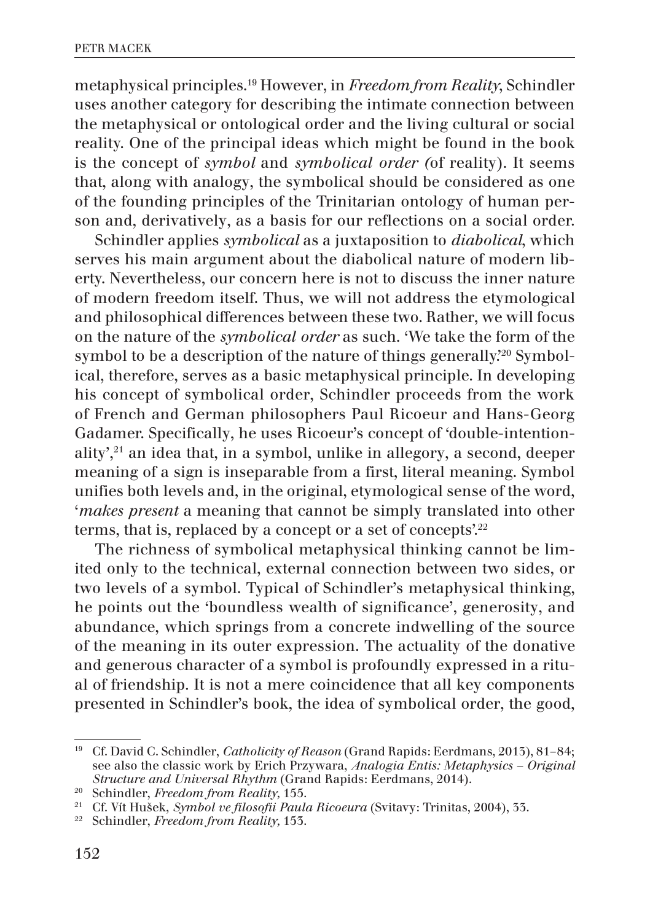metaphysical principles.19 However, in *Freedom from Reality*, Schindler uses another category for describing the intimate connection between the metaphysical or ontological order and the living cultural or social reality. One of the principal ideas which might be found in the book is the concept of *symbol* and *symbolical order (*of reality). It seems that, along with analogy, the symbolical should be considered as one of the founding principles of the Trinitarian ontology of human person and, derivatively, as a basis for our reflections on a social order.

Schindler applies *symbolical* as a juxtaposition to *diabolical*, which serves his main argument about the diabolical nature of modern liberty. Nevertheless, our concern here is not to discuss the inner nature of modern freedom itself. Thus, we will not address the etymological and philosophical differences between these two. Rather, we will focus on the nature of the *symbolical order* as such. 'We take the form of the symbol to be a description of the nature of things generally.'20 Symbolical, therefore, serves as a basic metaphysical principle. In developing his concept of symbolical order, Schindler proceeds from the work of French and German philosophers Paul Ricoeur and Hans-Georg Gadamer. Specifically, he uses Ricoeur's concept of 'double-intentionality', $21$  an idea that, in a symbol, unlike in allegory, a second, deeper meaning of a sign is inseparable from a first, literal meaning. Symbol unifies both levels and, in the original, etymological sense of the word, '*makes present* a meaning that cannot be simply translated into other terms, that is, replaced by a concept or a set of concepts'.<sup>22</sup>

The richness of symbolical metaphysical thinking cannot be limited only to the technical, external connection between two sides, or two levels of a symbol. Typical of Schindler's metaphysical thinking, he points out the 'boundless wealth of significance', generosity, and abundance, which springs from a concrete indwelling of the source of the meaning in its outer expression. The actuality of the donative and generous character of a symbol is profoundly expressed in a ritual of friendship. It is not a mere coincidence that all key components presented in Schindler's book, the idea of symbolical order, the good,

<sup>19</sup> Cf. David C. Schindler, *Catholicity of Reason* (Grand Rapids: Eerdmans, 2013), 81–84; see also the classic work by Erich Przywara, *Analogia Entis: Metaphysics – Original Structure and Universal Rhythm* (Grand Rapids: Eerdmans, 2014).

<sup>20</sup> Schindler, *Freedom from Reality,* 155.

<sup>21</sup> Cf. Vít Hušek, *Symbol ve filosofii Paula Ricoeura* (Svitavy: Trinitas, 2004), 33.

<sup>22</sup> Schindler, *Freedom from Reality,* 153.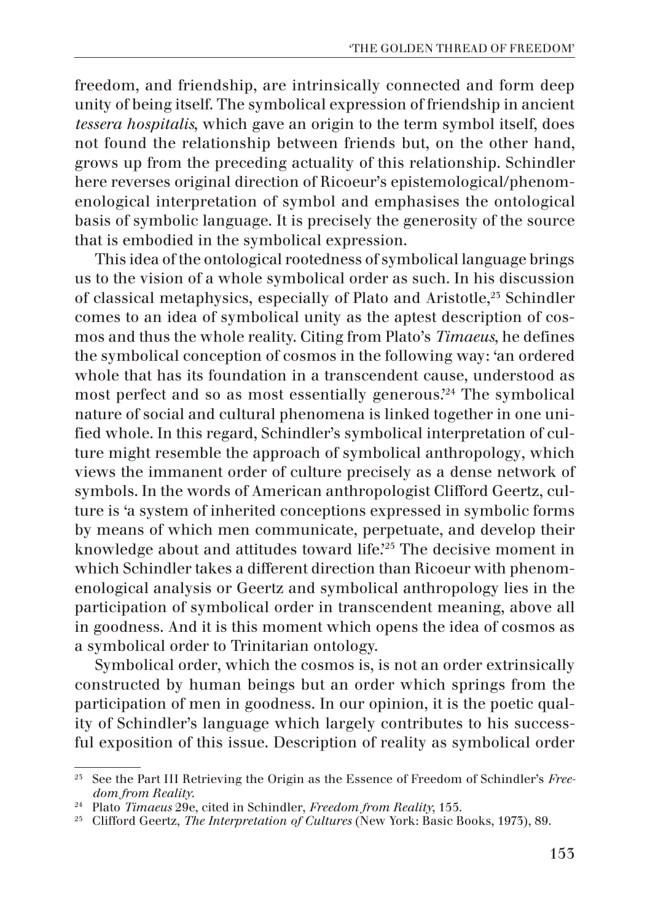freedom, and friendship, are intrinsically connected and form deep unity of being itself. The symbolical expression of friendship in ancient *tessera hospitalis*, which gave an origin to the term symbol itself, does not found the relationship between friends but, on the other hand, grows up from the preceding actuality of this relationship. Schindler here reverses original direction of Ricoeur's epistemological/phenomenological interpretation of symbol and emphasises the ontological basis of symbolic language. It is precisely the generosity of the source that is embodied in the symbolical expression.

This idea of the ontological rootedness of symbolical language brings us to the vision of a whole symbolical order as such. In his discussion of classical metaphysics, especially of Plato and Aristotle,23 Schindler comes to an idea of symbolical unity as the aptest description of cosmos and thus the whole reality. Citing from Plato's *Timaeus*, he defines the symbolical conception of cosmos in the following way: 'an ordered whole that has its foundation in a transcendent cause, understood as most perfect and so as most essentially generous.<sup>24</sup> The symbolical nature of social and cultural phenomena is linked together in one unified whole. In this regard, Schindler's symbolical interpretation of culture might resemble the approach of symbolical anthropology, which views the immanent order of culture precisely as a dense network of symbols. In the words of American anthropologist Clifford Geertz, culture is 'a system of inherited conceptions expressed in symbolic forms by means of which men communicate, perpetuate, and develop their knowledge about and attitudes toward life.'25 The decisive moment in which Schindler takes a different direction than Ricoeur with phenomenological analysis or Geertz and symbolical anthropology lies in the participation of symbolical order in transcendent meaning, above all in goodness. And it is this moment which opens the idea of cosmos as a symbolical order to Trinitarian ontology.

Symbolical order, which the cosmos is, is not an order extrinsically constructed by human beings but an order which springs from the participation of men in goodness. In our opinion, it is the poetic quality of Schindler's language which largely contributes to his successful exposition of this issue. Description of reality as symbolical order

<sup>23</sup> See the Part III Retrieving the Origin as the Essence of Freedom of Schindler's *Freedom from Reality*.

<sup>24</sup> Plato *Timaeus* 29e, cited in Schindler, *Freedom from Reality*, 155.

<sup>25</sup> Clifford Geertz, *The Interpretation of Cultures* (New York: Basic Books, 1973), 89.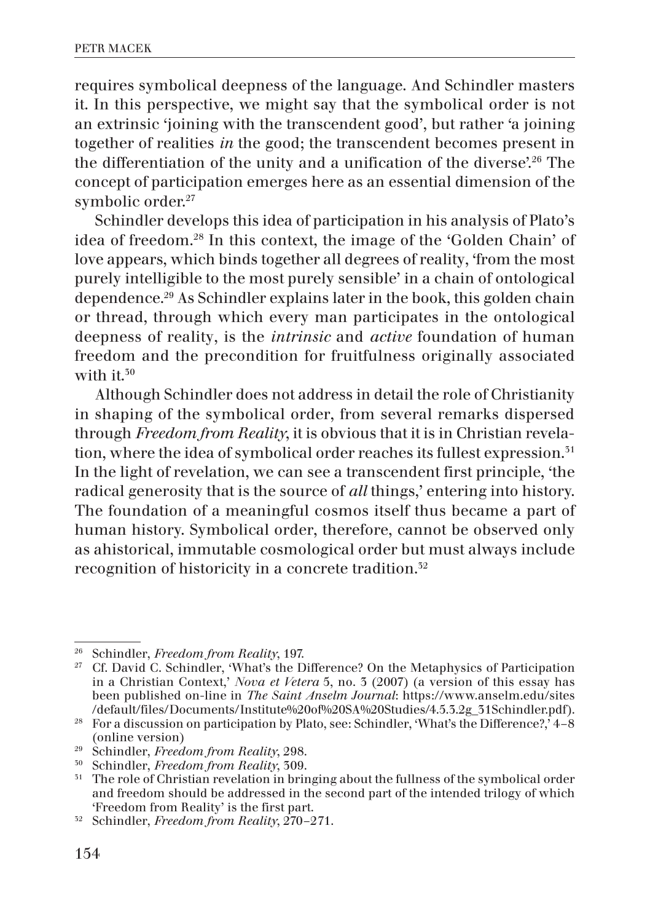requires symbolical deepness of the language. And Schindler masters it. In this perspective, we might say that the symbolical order is not an extrinsic 'joining with the transcendent good', but rather 'a joining together of realities *in* the good; the transcendent becomes present in the differentiation of the unity and a unification of the diverse'.26 The concept of participation emerges here as an essential dimension of the symbolic order.<sup>27</sup>

Schindler develops this idea of participation in his analysis of Plato's idea of freedom.28 In this context, the image of the 'Golden Chain' of love appears, which binds together all degrees of reality, 'from the most purely intelligible to the most purely sensible' in a chain of ontological dependence.29 As Schindler explains later in the book, this golden chain or thread, through which every man participates in the ontological deepness of reality, is the *intrinsic* and *active* foundation of human freedom and the precondition for fruitfulness originally associated with it.<sup>50</sup>

Although Schindler does not address in detail the role of Christianity in shaping of the symbolical order, from several remarks dispersed through *Freedom from Reality*, it is obvious that it is in Christian revelation, where the idea of symbolical order reaches its fullest expression.<sup>51</sup> In the light of revelation, we can see a transcendent first principle, 'the radical generosity that is the source of *all* things,' entering into history. The foundation of a meaningful cosmos itself thus became a part of human history. Symbolical order, therefore, cannot be observed only as ahistorical, immutable cosmological order but must always include recognition of historicity in a concrete tradition.32

<sup>26</sup> Schindler, *Freedom from Reality*, 197.

<sup>&</sup>lt;sup>27</sup> Cf. David C. Schindler, 'What's the Difference? On the Metaphysics of Participation in a Christian Context,' *Nova et Vetera* 5, no. 3 (2007) (a version of this essay has been published on-line in *The Saint Anselm Journal*: https://www.anselm.edu/sites

<sup>&</sup>lt;sup>28</sup> For a discussion on participation by Plato, see: Schindler, 'What's the Difference?,' 4–8 (online version) 29 Schindler, *Freedom from Reality*, 298.

<sup>30</sup> Schindler, *Freedom from Reality*, 309.

<sup>&</sup>lt;sup>31</sup> The role of Christian revelation in bringing about the fullness of the symbolical order and freedom should be addressed in the second part of the intended trilogy of which 'Freedom from Reality' is the first part.

<sup>32</sup> Schindler, *Freedom from Reality*, 270–271.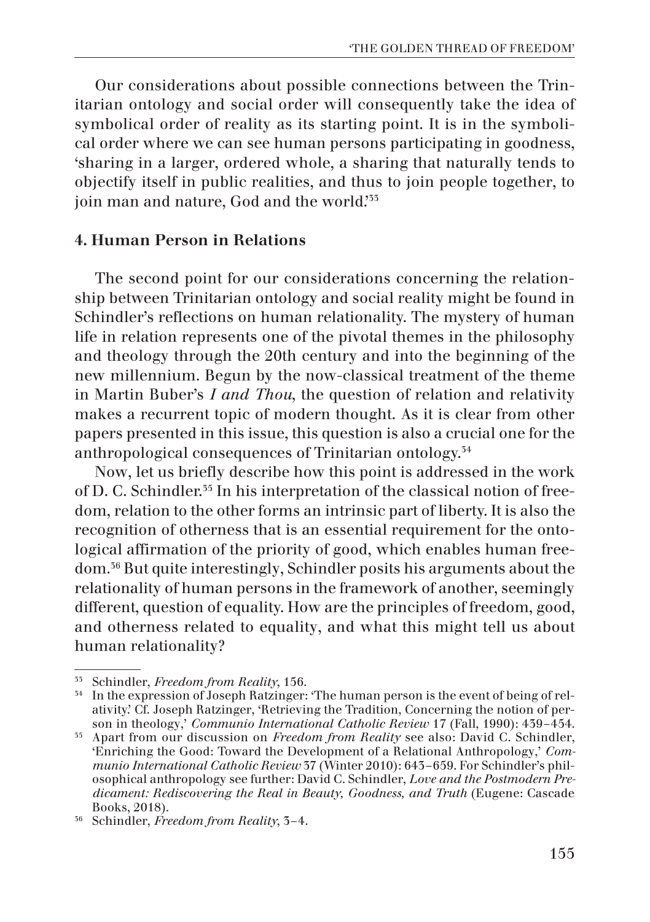Our considerations about possible connections between the Trinitarian ontology and social order will consequently take the idea of symbolical order of reality as its starting point. It is in the symbolical order where we can see human persons participating in goodness, 'sharing in a larger, ordered whole, a sharing that naturally tends to objectify itself in public realities, and thus to join people together, to join man and nature, God and the world.<sup>355</sup>

### 4. Human Person in Relations

The second point for our considerations concerning the relationship between Trinitarian ontology and social reality might be found in Schindler's reflections on human relationality. The mystery of human life in relation represents one of the pivotal themes in the philosophy and theology through the 20th century and into the beginning of the new millennium. Begun by the now-classical treatment of the theme in Martin Buber's *I and Thou*, the question of relation and relativity makes a recurrent topic of modern thought. As it is clear from other papers presented in this issue, this question is also a crucial one for the anthropological consequences of Trinitarian ontology.34

Now, let us briefly describe how this point is addressed in the work of D. C. Schindler.35 In his interpretation of the classical notion of freedom, relation to the other forms an intrinsic part of liberty. It is also the recognition of otherness that is an essential requirement for the ontological affirmation of the priority of good, which enables human freedom.36 But quite interestingly, Schindler posits his arguments about the relationality of human persons in the framework of another, seemingly different, question of equality. How are the principles of freedom, good, and otherness related to equality, and what this might tell us about human relationality?

<sup>33</sup> Schindler, *Freedom from Reality*, 156.

<sup>&</sup>lt;sup>34</sup> In the expression of Joseph Ratzinger: 'The human person is the event of being of relativity.' Cf. Joseph Ratzinger, 'Retrieving the Tradition, Concerning the notion of person in theology,' *Communio International Catholic Review* 17 (Fall, 1990): 439–454.

<sup>35</sup> Apart from our discussion on *Freedom from Reality* see also: David C. Schindler, 'Enriching the Good: Toward the Development of a Relational Anthropology,' *Communio International Catholic Review* 37 (Winter 2010): 643–659. For Schindler's philosophical anthropology see further: David C. Schindler, *Love and the Postmodern Predicament: Rediscovering the Real in Beauty, Goodness, and Truth* (Eugene: Cascade Books, 2018).

<sup>36</sup> Schindler, *Freedom from Reality*, 3–4.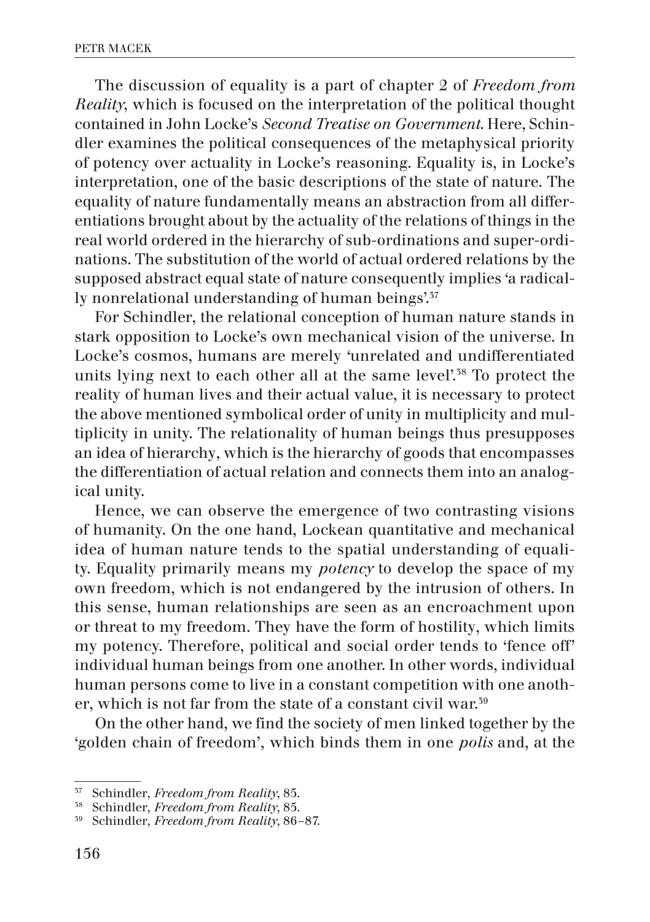The discussion of equality is a part of chapter 2 of *Freedom from Reality*, which is focused on the interpretation of the political thought contained in John Locke's *Second Treatise on Government*. Here, Schindler examines the political consequences of the metaphysical priority of potency over actuality in Locke's reasoning. Equality is, in Locke's interpretation, one of the basic descriptions of the state of nature. The equality of nature fundamentally means an abstraction from all differentiations brought about by the actuality of the relations of things in the real world ordered in the hierarchy of sub-ordinations and super-ordinations. The substitution of the world of actual ordered relations by the supposed abstract equal state of nature consequently implies 'a radically nonrelational understanding of human beings'.<sup>37</sup>

For Schindler, the relational conception of human nature stands in stark opposition to Locke's own mechanical vision of the universe. In Locke's cosmos, humans are merely 'unrelated and undifferentiated units lying next to each other all at the same level'.<sup>38</sup> To protect the reality of human lives and their actual value, it is necessary to protect the above mentioned symbolical order of unity in multiplicity and multiplicity in unity. The relationality of human beings thus presupposes an idea of hierarchy, which is the hierarchy of goods that encompasses the differentiation of actual relation and connects them into an analogical unity.

Hence, we can observe the emergence of two contrasting visions of humanity. On the one hand, Lockean quantitative and mechanical idea of human nature tends to the spatial understanding of equality. Equality primarily means my *potency* to develop the space of my own freedom, which is not endangered by the intrusion of others. In this sense, human relationships are seen as an encroachment upon or threat to my freedom. They have the form of hostility, which limits my potency. Therefore, political and social order tends to 'fence off' individual human beings from one another. In other words, individual human persons come to live in a constant competition with one another, which is not far from the state of a constant civil war.39

On the other hand, we find the society of men linked together by the 'golden chain of freedom', which binds them in one *polis* and, at the

<sup>&</sup>lt;sup>57</sup> Schindler, *Freedom from Reality*, 85.

<sup>38</sup> Schindler, *Freedom from Reality*, 85.

<sup>39</sup> Schindler, *Freedom from Reality*, 86–87.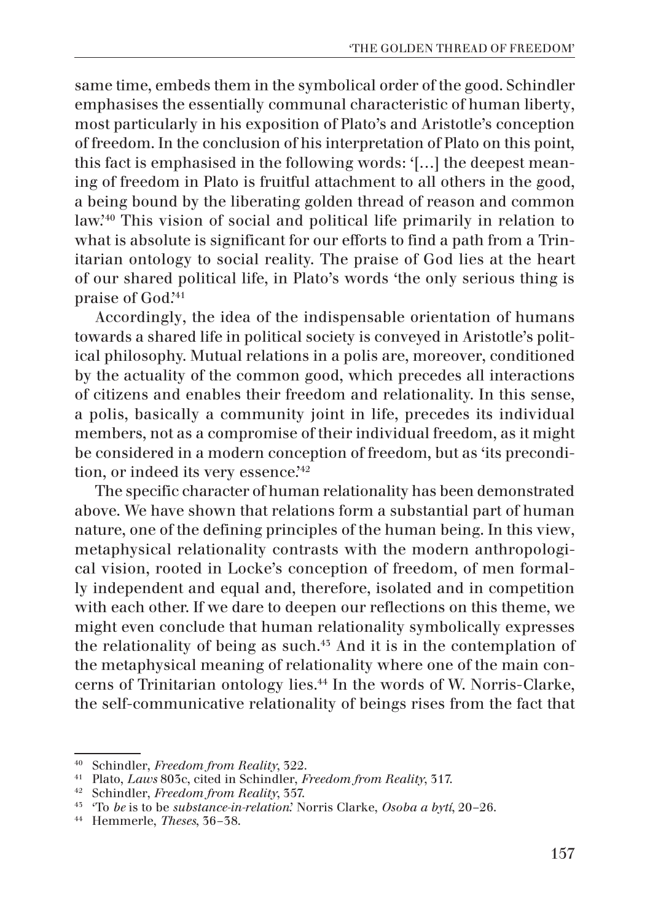same time, embeds them in the symbolical order of the good. Schindler emphasises the essentially communal characteristic of human liberty, most particularly in his exposition of Plato's and Aristotle's conception of freedom. In the conclusion of his interpretation of Plato on this point, this fact is emphasised in the following words: '[…] the deepest meaning of freedom in Plato is fruitful attachment to all others in the good, a being bound by the liberating golden thread of reason and common law.'40 This vision of social and political life primarily in relation to what is absolute is significant for our efforts to find a path from a Trinitarian ontology to social reality. The praise of God lies at the heart of our shared political life, in Plato's words 'the only serious thing is praise of God.'41

Accordingly, the idea of the indispensable orientation of humans towards a shared life in political society is conveyed in Aristotle's political philosophy. Mutual relations in a polis are, moreover, conditioned by the actuality of the common good, which precedes all interactions of citizens and enables their freedom and relationality. In this sense, a polis, basically a community joint in life, precedes its individual members, not as a compromise of their individual freedom, as it might be considered in a modern conception of freedom, but as 'its precondition, or indeed its very essence.<sup>'42</sup>

The specific character of human relationality has been demonstrated above. We have shown that relations form a substantial part of human nature, one of the defining principles of the human being. In this view, metaphysical relationality contrasts with the modern anthropological vision, rooted in Locke's conception of freedom, of men formally independent and equal and, therefore, isolated and in competition with each other. If we dare to deepen our reflections on this theme, we might even conclude that human relationality symbolically expresses the relationality of being as such.43 And it is in the contemplation of the metaphysical meaning of relationality where one of the main concerns of Trinitarian ontology lies.44 In the words of W. Norris-Clarke, the self-communicative relationality of beings rises from the fact that

<sup>40</sup> Schindler, *Freedom from Reality*, 322.

<sup>41</sup> Plato, *Laws* 803c, cited in Schindler, *Freedom from Reality*, 317. 42 Schindler, *Freedom from Reality*, 357.

<sup>43</sup> 'To *be* is to be *substance-in-relation*.' Norris Clarke, *Osoba a bytí*, 20–26.

<sup>44</sup> Hemmerle, *Theses*, 36–38.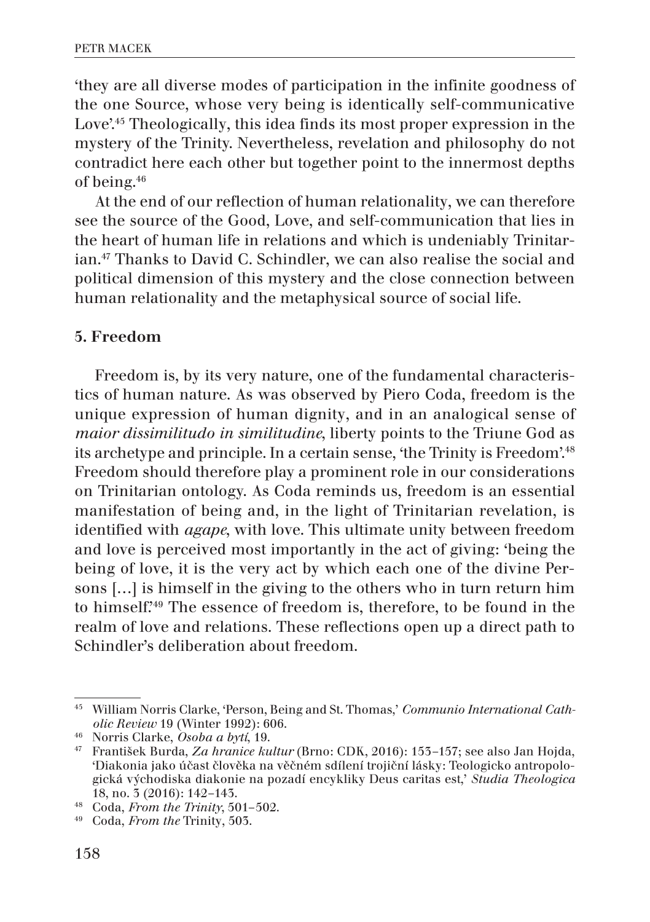'they are all diverse modes of participation in the infinite goodness of the one Source, whose very being is identically self-communicative Love<sup>',45</sup> Theologically, this idea finds its most proper expression in the mystery of the Trinity. Nevertheless, revelation and philosophy do not contradict here each other but together point to the innermost depths of being.46

At the end of our reflection of human relationality, we can therefore see the source of the Good, Love, and self-communication that lies in the heart of human life in relations and which is undeniably Trinitarian.47 Thanks to David C. Schindler, we can also realise the social and political dimension of this mystery and the close connection between human relationality and the metaphysical source of social life.

#### 5. Freedom

Freedom is, by its very nature, one of the fundamental characteristics of human nature. As was observed by Piero Coda, freedom is the unique expression of human dignity, and in an analogical sense of *maior dissimilitudo in similitudine*, liberty points to the Triune God as its archetype and principle. In a certain sense, 'the Trinity is Freedom'.<sup>48</sup> Freedom should therefore play a prominent role in our considerations on Trinitarian ontology. As Coda reminds us, freedom is an essential manifestation of being and, in the light of Trinitarian revelation, is identified with *agape*, with love. This ultimate unity between freedom and love is perceived most importantly in the act of giving: 'being the being of love, it is the very act by which each one of the divine Persons […] is himself in the giving to the others who in turn return him to himself.'49 The essence of freedom is, therefore, to be found in the realm of love and relations. These reflections open up a direct path to Schindler's deliberation about freedom.

<sup>45</sup> William Norris Clarke, 'Person, Being and St. Thomas,' *Communio International Catholic Review* 19 (Winter 1992): 606.

<sup>46</sup> Norris Clarke, *Osoba a bytí*, 19.

<sup>47</sup> František Burda, *Za hranice kultur* (Brno: CDK, 2016): 153–157; see also Jan Hojda, 'Diakonia jako účast člověka na věčném sdílení trojiční lásky: Teologicko antropologická východiska diakonie na pozadí encykliky Deus caritas est,' *Studia Theologica* 18, no. 3 (2016): 142–143.

<sup>48</sup> Coda, *From the Trinity*, 501–502.

<sup>49</sup> Coda, *From the* Trinity, 503.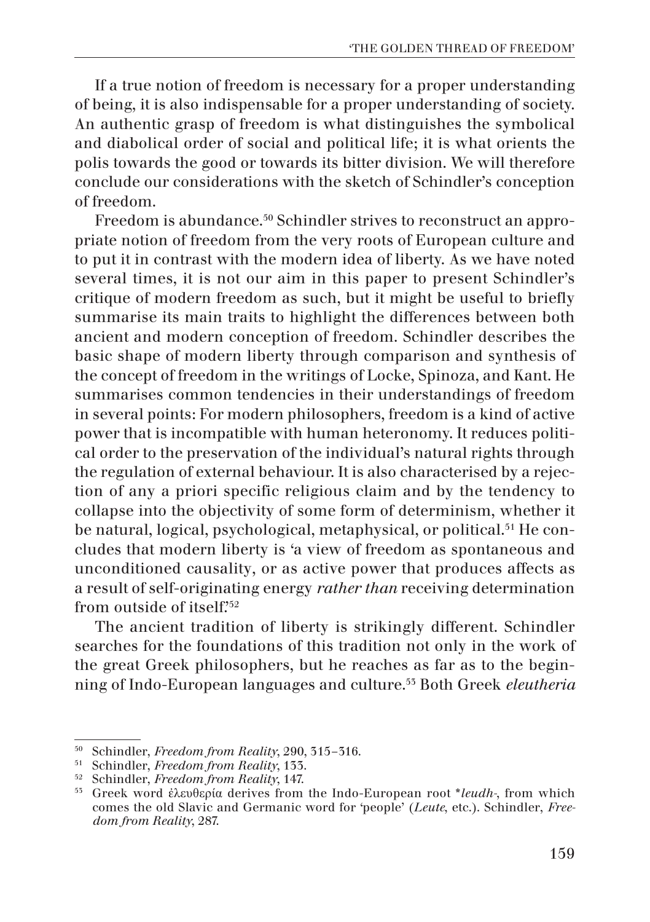If a true notion of freedom is necessary for a proper understanding of being, it is also indispensable for a proper understanding of society. An authentic grasp of freedom is what distinguishes the symbolical and diabolical order of social and political life; it is what orients the polis towards the good or towards its bitter division. We will therefore conclude our considerations with the sketch of Schindler's conception of freedom.

Freedom is abundance.<sup>50</sup> Schindler strives to reconstruct an appropriate notion of freedom from the very roots of European culture and to put it in contrast with the modern idea of liberty. As we have noted several times, it is not our aim in this paper to present Schindler's critique of modern freedom as such, but it might be useful to briefly summarise its main traits to highlight the differences between both ancient and modern conception of freedom. Schindler describes the basic shape of modern liberty through comparison and synthesis of the concept of freedom in the writings of Locke, Spinoza, and Kant. He summarises common tendencies in their understandings of freedom in several points: For modern philosophers, freedom is a kind of active power that is incompatible with human heteronomy. It reduces political order to the preservation of the individual's natural rights through the regulation of external behaviour. It is also characterised by a rejection of any a priori specific religious claim and by the tendency to collapse into the objectivity of some form of determinism, whether it be natural, logical, psychological, metaphysical, or political.<sup>51</sup> He concludes that modern liberty is 'a view of freedom as spontaneous and unconditioned causality, or as active power that produces affects as a result of self-originating energy *rather than* receiving determination from outside of itself.'52

The ancient tradition of liberty is strikingly different. Schindler searches for the foundations of this tradition not only in the work of the great Greek philosophers, but he reaches as far as to the beginning of Indo-European languages and culture.53 Both Greek *eleutheria*

<sup>50</sup> Schindler, *Freedom from Reality*, 290, 315–316.

<sup>51</sup> Schindler, *Freedom from Reality*, 133.

<sup>52</sup> Schindler, *Freedom from Reality*, 147.

<sup>53</sup> Greek word ἐλευθερία derives from the Indo-European root \**leudh-*, from which comes the old Slavic and Germanic word for 'people' (*Leute*, etc.). Schindler, *Freedom from Reality*, 287.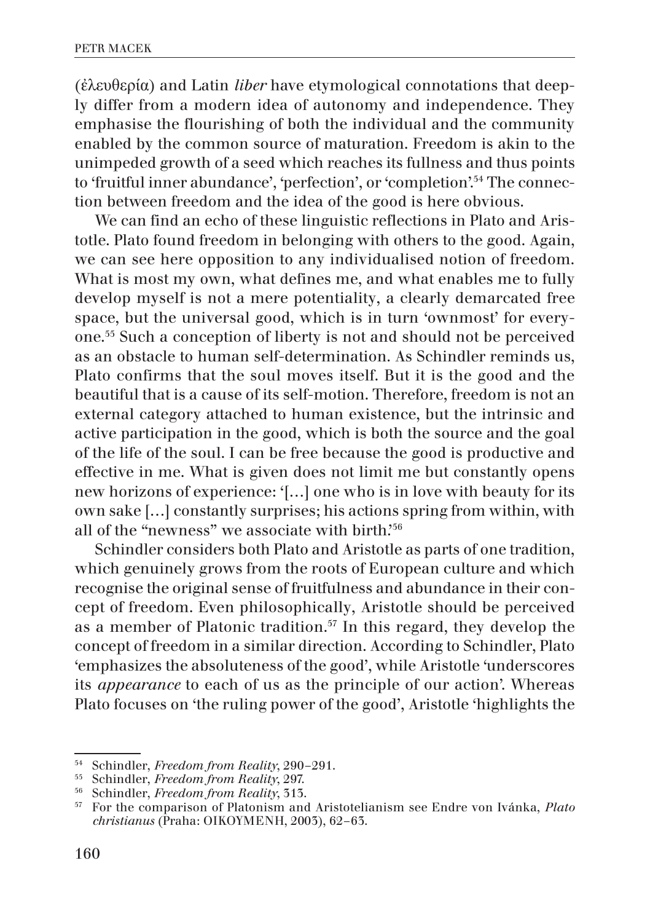(ἐλευθερία) and Latin *liber* have etymological connotations that deeply differ from a modern idea of autonomy and independence. They emphasise the flourishing of both the individual and the community enabled by the common source of maturation. Freedom is akin to the unimpeded growth of a seed which reaches its fullness and thus points to 'fruitful inner abundance', 'perfection', or 'completion'.54 The connection between freedom and the idea of the good is here obvious.

We can find an echo of these linguistic reflections in Plato and Aristotle. Plato found freedom in belonging with others to the good. Again, we can see here opposition to any individualised notion of freedom. What is most my own, what defines me, and what enables me to fully develop myself is not a mere potentiality, a clearly demarcated free space, but the universal good, which is in turn 'ownmost' for everyone.55 Such a conception of liberty is not and should not be perceived as an obstacle to human self-determination. As Schindler reminds us, Plato confirms that the soul moves itself. But it is the good and the beautiful that is a cause of its self-motion. Therefore, freedom is not an external category attached to human existence, but the intrinsic and active participation in the good, which is both the source and the goal of the life of the soul. I can be free because the good is productive and effective in me. What is given does not limit me but constantly opens new horizons of experience: '[…] one who is in love with beauty for its own sake […] constantly surprises; his actions spring from within, with all of the "newness" we associate with birth.<sup>56</sup>

Schindler considers both Plato and Aristotle as parts of one tradition, which genuinely grows from the roots of European culture and which recognise the original sense of fruitfulness and abundance in their concept of freedom. Even philosophically, Aristotle should be perceived as a member of Platonic tradition.<sup>57</sup> In this regard, they develop the concept of freedom in a similar direction. According to Schindler, Plato 'emphasizes the absoluteness of the good', while Aristotle 'underscores its *appearance* to each of us as the principle of our action'. Whereas Plato focuses on 'the ruling power of the good', Aristotle 'highlights the

<sup>54</sup> Schindler, *Freedom from Reality*, 290–291.

<sup>55</sup> Schindler, *Freedom from Reality*, 297.

<sup>&</sup>lt;sup>56</sup> Schindler, *Freedom from Reality*, 313.<br><sup>57</sup> For the comparison of Platonism and

<sup>57</sup> For the comparison of Platonism and Aristotelianism see Endre von Ivánka, *Plato christianus* (Praha: OIKOYMENH, 2003), 62–63.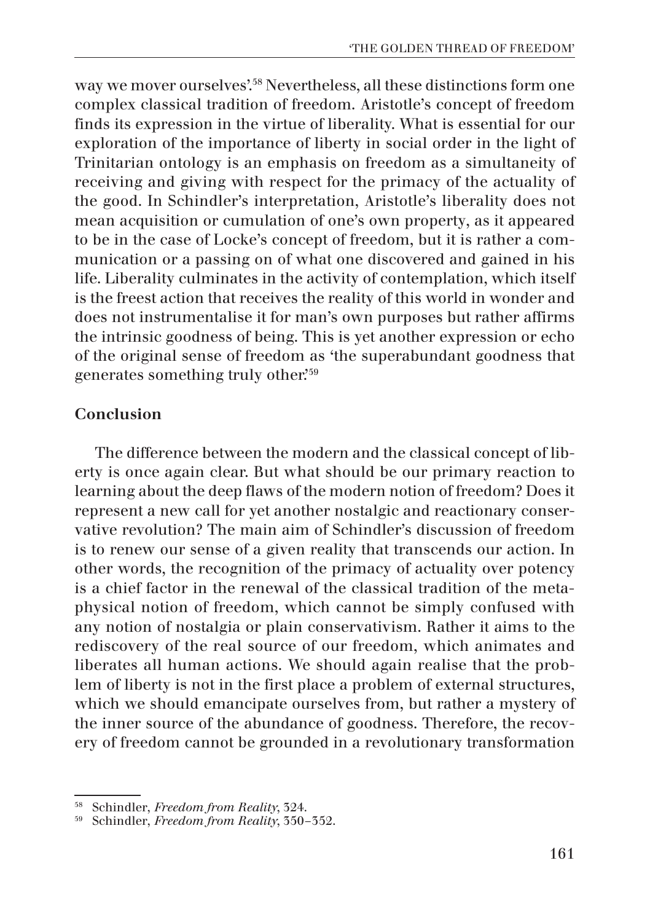way we mover ourselves'.<sup>58</sup> Nevertheless, all these distinctions form one complex classical tradition of freedom. Aristotle's concept of freedom finds its expression in the virtue of liberality. What is essential for our exploration of the importance of liberty in social order in the light of Trinitarian ontology is an emphasis on freedom as a simultaneity of receiving and giving with respect for the primacy of the actuality of the good. In Schindler's interpretation, Aristotle's liberality does not mean acquisition or cumulation of one's own property, as it appeared to be in the case of Locke's concept of freedom, but it is rather a communication or a passing on of what one discovered and gained in his life. Liberality culminates in the activity of contemplation, which itself is the freest action that receives the reality of this world in wonder and does not instrumentalise it for man's own purposes but rather affirms the intrinsic goodness of being. This is yet another expression or echo of the original sense of freedom as 'the superabundant goodness that generates something truly other.'59

# Conclusion

The difference between the modern and the classical concept of liberty is once again clear. But what should be our primary reaction to learning about the deep flaws of the modern notion of freedom? Does it represent a new call for yet another nostalgic and reactionary conservative revolution? The main aim of Schindler's discussion of freedom is to renew our sense of a given reality that transcends our action. In other words, the recognition of the primacy of actuality over potency is a chief factor in the renewal of the classical tradition of the metaphysical notion of freedom, which cannot be simply confused with any notion of nostalgia or plain conservativism. Rather it aims to the rediscovery of the real source of our freedom, which animates and liberates all human actions. We should again realise that the problem of liberty is not in the first place a problem of external structures, which we should emancipate ourselves from, but rather a mystery of the inner source of the abundance of goodness. Therefore, the recovery of freedom cannot be grounded in a revolutionary transformation

<sup>58</sup> Schindler, *Freedom from Reality*, 324.

<sup>59</sup> Schindler, *Freedom from Reality*, 350–352.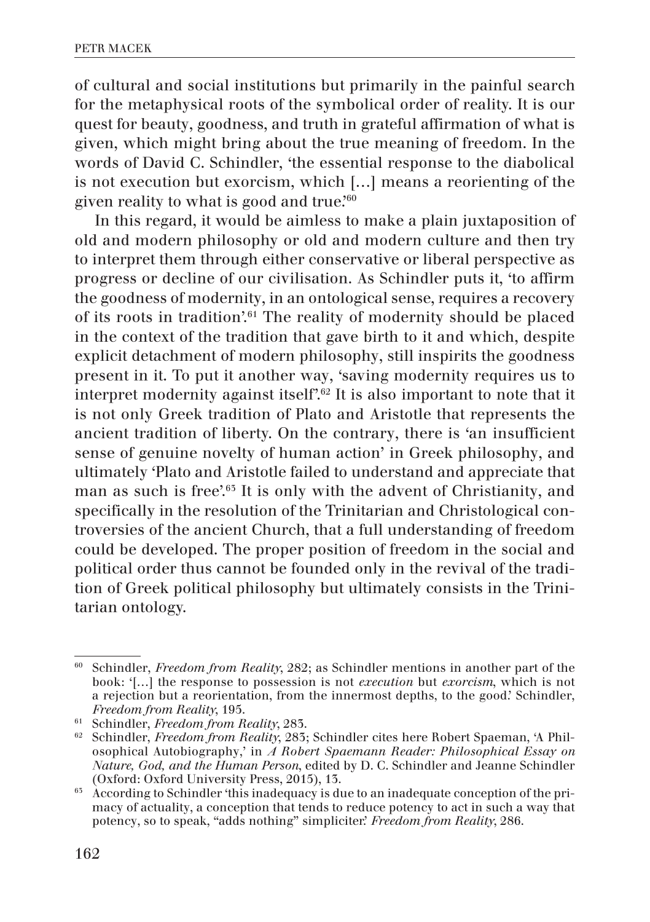of cultural and social institutions but primarily in the painful search for the metaphysical roots of the symbolical order of reality. It is our quest for beauty, goodness, and truth in grateful affirmation of what is given, which might bring about the true meaning of freedom. In the words of David C. Schindler, 'the essential response to the diabolical is not execution but exorcism, which […] means a reorienting of the given reality to what is good and true.<sup> $60$ </sup>

In this regard, it would be aimless to make a plain juxtaposition of old and modern philosophy or old and modern culture and then try to interpret them through either conservative or liberal perspective as progress or decline of our civilisation. As Schindler puts it, 'to affirm the goodness of modernity, in an ontological sense, requires a recovery of its roots in tradition'.61 The reality of modernity should be placed in the context of the tradition that gave birth to it and which, despite explicit detachment of modern philosophy, still inspirits the goodness present in it. To put it another way, 'saving modernity requires us to interpret modernity against itself'.62 It is also important to note that it is not only Greek tradition of Plato and Aristotle that represents the ancient tradition of liberty. On the contrary, there is 'an insufficient sense of genuine novelty of human action' in Greek philosophy, and ultimately 'Plato and Aristotle failed to understand and appreciate that man as such is free'.63 It is only with the advent of Christianity, and specifically in the resolution of the Trinitarian and Christological controversies of the ancient Church, that a full understanding of freedom could be developed. The proper position of freedom in the social and political order thus cannot be founded only in the revival of the tradition of Greek political philosophy but ultimately consists in the Trinitarian ontology.

<sup>60</sup> Schindler, *Freedom from Reality*, 282; as Schindler mentions in another part of the book: '[…] the response to possession is not *execution* but *exorcism*, which is not a rejection but a reorientation, from the innermost depths, to the good.' Schindler, *Freedom from Reality*, 195.

<sup>61</sup> Schindler, *Freedom from Reality*, 283.

<sup>62</sup> Schindler, *Freedom from Reality*, 283; Schindler cites here Robert Spaeman, 'A Philosophical Autobiography,' in *A Robert Spaemann Reader: Philosophical Essay on Nature, God, and the Human Person*, edited by D. C. Schindler and Jeanne Schindler (Oxford: Oxford University Press, 2015), 13.

<sup>&</sup>lt;sup>65</sup> According to Schindler 'this inadequacy is due to an inadequate conception of the primacy of actuality, a conception that tends to reduce potency to act in such a way that potency, so to speak, "adds nothing" simpliciter.' *Freedom from Reality*, 286.